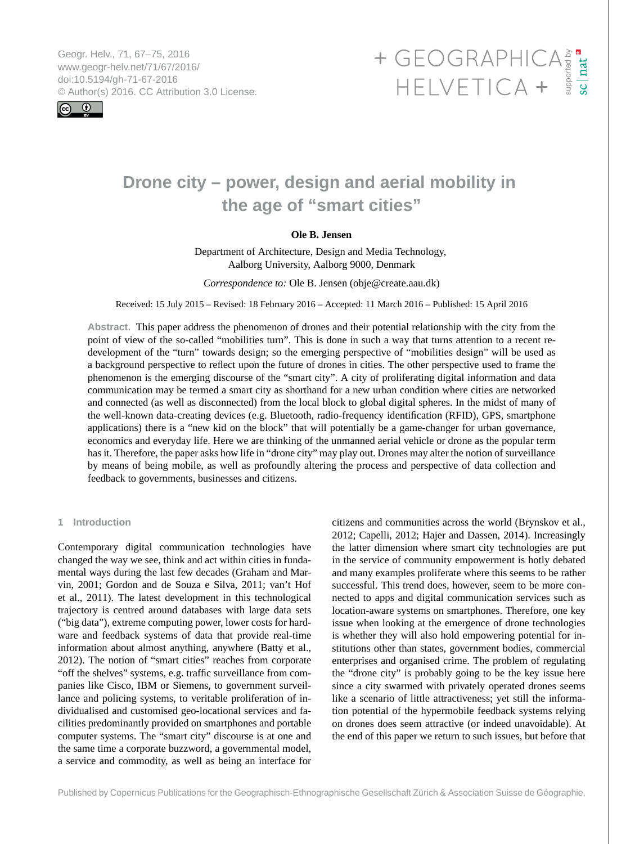Geogr. Helv., 71, 67–75, 2016 www.geogr-helv.net/71/67/2016/ doi:10.5194/gh-71-67-2016



# <span id="page-0-0"></span>Geogr. Helv., 71, 67–75, 2016<br>www.geogr-helv.net/71/67/2016/<br>doi:10.5194/gh-71-67-2016<br>© Author(s) 2016. CC Attribution 3.0 License. HELVETICA +

# **Drone city – power, design and aerial mobility in the age of "smart cities"**

# **Ole B. Jensen**

Department of Architecture, Design and Media Technology, Aalborg University, Aalborg 9000, Denmark

*Correspondence to:* Ole B. Jensen (obje@create.aau.dk)

Received: 15 July 2015 – Revised: 18 February 2016 – Accepted: 11 March 2016 – Published: 15 April 2016

**Abstract.** This paper address the phenomenon of drones and their potential relationship with the city from the point of view of the so-called "mobilities turn". This is done in such a way that turns attention to a recent redevelopment of the "turn" towards design; so the emerging perspective of "mobilities design" will be used as a background perspective to reflect upon the future of drones in cities. The other perspective used to frame the phenomenon is the emerging discourse of the "smart city". A city of proliferating digital information and data communication may be termed a smart city as shorthand for a new urban condition where cities are networked and connected (as well as disconnected) from the local block to global digital spheres. In the midst of many of the well-known data-creating devices (e.g. Bluetooth, radio-frequency identification (RFID), GPS, smartphone applications) there is a "new kid on the block" that will potentially be a game-changer for urban governance, economics and everyday life. Here we are thinking of the unmanned aerial vehicle or drone as the popular term has it. Therefore, the paper asks how life in "drone city" may play out. Drones may alter the notion of surveillance by means of being mobile, as well as profoundly altering the process and perspective of data collection and feedback to governments, businesses and citizens.

# **1 Introduction**

Contemporary digital communication technologies have changed the way we see, think and act within cities in fundamental ways during the last few decades (Graham and Marvin, 2001; Gordon and de Souza e Silva, 2011; van't Hof et al., 2011). The latest development in this technological trajectory is centred around databases with large data sets ("big data"), extreme computing power, lower costs for hardware and feedback systems of data that provide real-time information about almost anything, anywhere (Batty et al., 2012). The notion of "smart cities" reaches from corporate "off the shelves" systems, e.g. traffic surveillance from companies like Cisco, IBM or Siemens, to government surveillance and policing systems, to veritable proliferation of individualised and customised geo-locational services and facilities predominantly provided on smartphones and portable computer systems. The "smart city" discourse is at one and the same time a corporate buzzword, a governmental model, a service and commodity, as well as being an interface for

citizens and communities across the world (Brynskov et al., 2012; Capelli, 2012; Hajer and Dassen, 2014). Increasingly the latter dimension where smart city technologies are put in the service of community empowerment is hotly debated and many examples proliferate where this seems to be rather successful. This trend does, however, seem to be more connected to apps and digital communication services such as location-aware systems on smartphones. Therefore, one key issue when looking at the emergence of drone technologies is whether they will also hold empowering potential for institutions other than states, government bodies, commercial enterprises and organised crime. The problem of regulating the "drone city" is probably going to be the key issue here since a city swarmed with privately operated drones seems like a scenario of little attractiveness; yet still the information potential of the hypermobile feedback systems relying on drones does seem attractive (or indeed unavoidable). At the end of this paper we return to such issues, but before that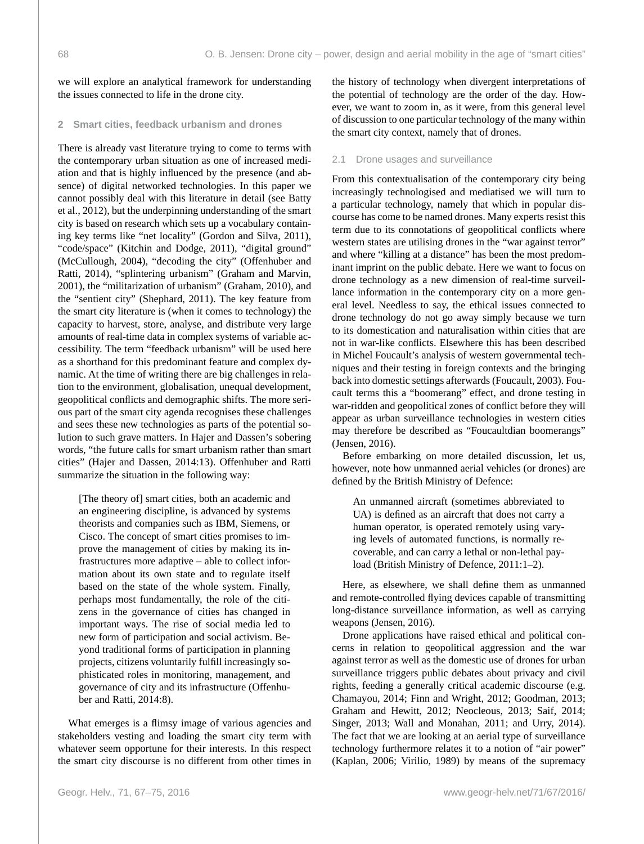we will explore an analytical framework for understanding the issues connected to life in the drone city.

# **2 Smart cities, feedback urbanism and drones**

There is already vast literature trying to come to terms with the contemporary urban situation as one of increased mediation and that is highly influenced by the presence (and absence) of digital networked technologies. In this paper we cannot possibly deal with this literature in detail (see Batty et al., 2012), but the underpinning understanding of the smart city is based on research which sets up a vocabulary containing key terms like "net locality" (Gordon and Silva, 2011), "code/space" (Kitchin and Dodge, 2011), "digital ground" (McCullough, 2004), "decoding the city" (Offenhuber and Ratti, 2014), "splintering urbanism" (Graham and Marvin, 2001), the "militarization of urbanism" (Graham, 2010), and the "sentient city" (Shephard, 2011). The key feature from the smart city literature is (when it comes to technology) the capacity to harvest, store, analyse, and distribute very large amounts of real-time data in complex systems of variable accessibility. The term "feedback urbanism" will be used here as a shorthand for this predominant feature and complex dynamic. At the time of writing there are big challenges in relation to the environment, globalisation, unequal development, geopolitical conflicts and demographic shifts. The more serious part of the smart city agenda recognises these challenges and sees these new technologies as parts of the potential solution to such grave matters. In Hajer and Dassen's sobering words, "the future calls for smart urbanism rather than smart cities" (Hajer and Dassen, 2014:13). Offenhuber and Ratti summarize the situation in the following way:

[The theory of] smart cities, both an academic and an engineering discipline, is advanced by systems theorists and companies such as IBM, Siemens, or Cisco. The concept of smart cities promises to improve the management of cities by making its infrastructures more adaptive – able to collect information about its own state and to regulate itself based on the state of the whole system. Finally, perhaps most fundamentally, the role of the citizens in the governance of cities has changed in important ways. The rise of social media led to new form of participation and social activism. Beyond traditional forms of participation in planning projects, citizens voluntarily fulfill increasingly sophisticated roles in monitoring, management, and governance of city and its infrastructure (Offenhuber and Ratti, 2014:8).

What emerges is a flimsy image of various agencies and stakeholders vesting and loading the smart city term with whatever seem opportune for their interests. In this respect the smart city discourse is no different from other times in

the history of technology when divergent interpretations of the potential of technology are the order of the day. However, we want to zoom in, as it were, from this general level of discussion to one particular technology of the many within the smart city context, namely that of drones.

#### 2.1 Drone usages and surveillance

From this contextualisation of the contemporary city being increasingly technologised and mediatised we will turn to a particular technology, namely that which in popular discourse has come to be named drones. Many experts resist this term due to its connotations of geopolitical conflicts where western states are utilising drones in the "war against terror" and where "killing at a distance" has been the most predominant imprint on the public debate. Here we want to focus on drone technology as a new dimension of real-time surveillance information in the contemporary city on a more general level. Needless to say, the ethical issues connected to drone technology do not go away simply because we turn to its domestication and naturalisation within cities that are not in war-like conflicts. Elsewhere this has been described in Michel Foucault's analysis of western governmental techniques and their testing in foreign contexts and the bringing back into domestic settings afterwards (Foucault, 2003). Foucault terms this a "boomerang" effect, and drone testing in war-ridden and geopolitical zones of conflict before they will appear as urban surveillance technologies in western cities may therefore be described as "Foucaultdian boomerangs" (Jensen, 2016).

Before embarking on more detailed discussion, let us, however, note how unmanned aerial vehicles (or drones) are defined by the British Ministry of Defence:

An unmanned aircraft (sometimes abbreviated to UA) is defined as an aircraft that does not carry a human operator, is operated remotely using varying levels of automated functions, is normally recoverable, and can carry a lethal or non-lethal payload (British Ministry of Defence, 2011:1–2).

Here, as elsewhere, we shall define them as unmanned and remote-controlled flying devices capable of transmitting long-distance surveillance information, as well as carrying weapons (Jensen, 2016).

Drone applications have raised ethical and political concerns in relation to geopolitical aggression and the war against terror as well as the domestic use of drones for urban surveillance triggers public debates about privacy and civil rights, feeding a generally critical academic discourse (e.g. Chamayou, 2014; Finn and Wright, 2012; Goodman, 2013; Graham and Hewitt, 2012; Neocleous, 2013; Saif, 2014; Singer, 2013; Wall and Monahan, 2011; and Urry, 2014). The fact that we are looking at an aerial type of surveillance technology furthermore relates it to a notion of "air power" (Kaplan, 2006; Virilio, 1989) by means of the supremacy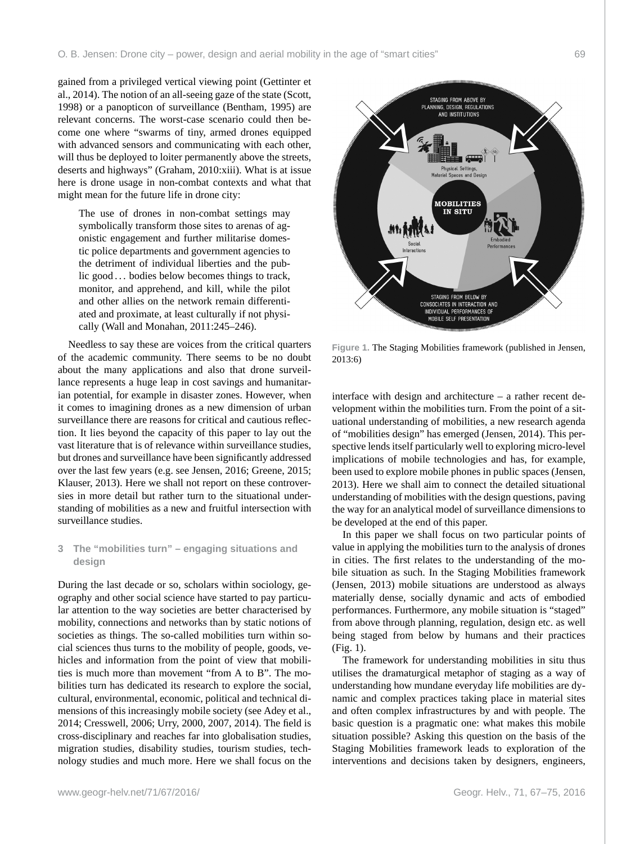gained from a privileged vertical viewing point (Gettinter et al., 2014). The notion of an all-seeing gaze of the state (Scott, 1998) or a panopticon of surveillance (Bentham, 1995) are relevant concerns. The worst-case scenario could then become one where "swarms of tiny, armed drones equipped with advanced sensors and communicating with each other, will thus be deployed to loiter permanently above the streets, deserts and highways" (Graham, 2010:xiii). What is at issue here is drone usage in non-combat contexts and what that might mean for the future life in drone city:

The use of drones in non-combat settings may symbolically transform those sites to arenas of agonistic engagement and further militarise domestic police departments and government agencies to the detriment of individual liberties and the public good . . . bodies below becomes things to track, monitor, and apprehend, and kill, while the pilot and other allies on the network remain differentiated and proximate, at least culturally if not physically (Wall and Monahan, 2011:245–246).

Needless to say these are voices from the critical quarters of the academic community. There seems to be no doubt about the many applications and also that drone surveillance represents a huge leap in cost savings and humanitarian potential, for example in disaster zones. However, when it comes to imagining drones as a new dimension of urban surveillance there are reasons for critical and cautious reflection. It lies beyond the capacity of this paper to lay out the vast literature that is of relevance within surveillance studies, but drones and surveillance have been significantly addressed over the last few years (e.g. see Jensen, 2016; Greene, 2015; Klauser, 2013). Here we shall not report on these controversies in more detail but rather turn to the situational understanding of mobilities as a new and fruitful intersection with surveillance studies.

# **3 The "mobilities turn" – engaging situations and design**

During the last decade or so, scholars within sociology, geography and other social science have started to pay particular attention to the way societies are better characterised by mobility, connections and networks than by static notions of societies as things. The so-called mobilities turn within social sciences thus turns to the mobility of people, goods, vehicles and information from the point of view that mobilities is much more than movement "from A to B". The mobilities turn has dedicated its research to explore the social, cultural, environmental, economic, political and technical dimensions of this increasingly mobile society (see Adey et al., 2014; Cresswell, 2006; Urry, 2000, 2007, 2014). The field is cross-disciplinary and reaches far into globalisation studies, migration studies, disability studies, tourism studies, technology studies and much more. Here we shall focus on the



**Figure 1.** The Staging Mobilities framework (published in Jensen, 2013:6)

interface with design and architecture – a rather recent development within the mobilities turn. From the point of a situational understanding of mobilities, a new research agenda of "mobilities design" has emerged (Jensen, 2014). This perspective lends itself particularly well to exploring micro-level implications of mobile technologies and has, for example, been used to explore mobile phones in public spaces (Jensen, 2013). Here we shall aim to connect the detailed situational understanding of mobilities with the design questions, paving the way for an analytical model of surveillance dimensions to be developed at the end of this paper.

In this paper we shall focus on two particular points of value in applying the mobilities turn to the analysis of drones in cities. The first relates to the understanding of the mobile situation as such. In the Staging Mobilities framework (Jensen, 2013) mobile situations are understood as always materially dense, socially dynamic and acts of embodied performances. Furthermore, any mobile situation is "staged" from above through planning, regulation, design etc. as well being staged from below by humans and their practices (Fig. 1).

The framework for understanding mobilities in situ thus utilises the dramaturgical metaphor of staging as a way of understanding how mundane everyday life mobilities are dynamic and complex practices taking place in material sites and often complex infrastructures by and with people. The basic question is a pragmatic one: what makes this mobile situation possible? Asking this question on the basis of the Staging Mobilities framework leads to exploration of the interventions and decisions taken by designers, engineers,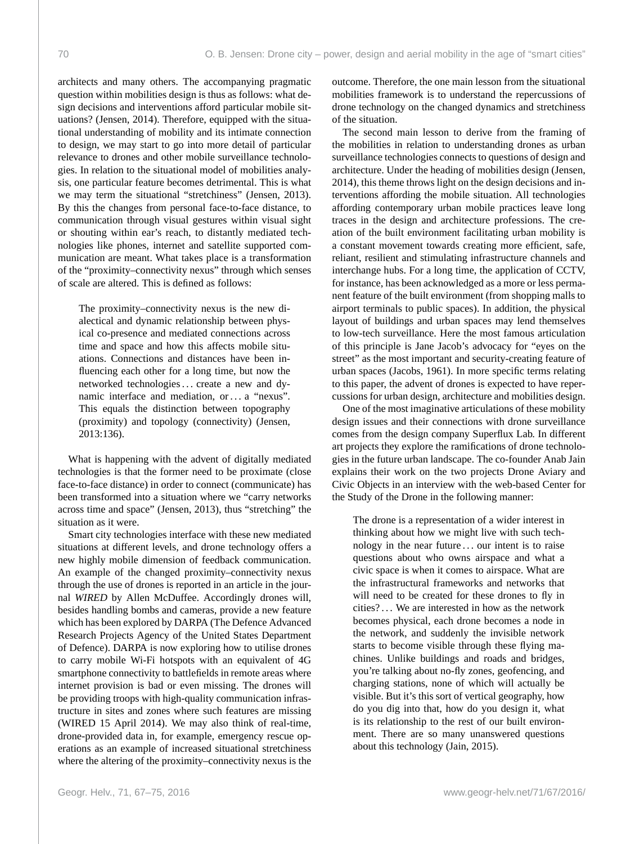architects and many others. The accompanying pragmatic question within mobilities design is thus as follows: what design decisions and interventions afford particular mobile situations? (Jensen, 2014). Therefore, equipped with the situational understanding of mobility and its intimate connection to design, we may start to go into more detail of particular relevance to drones and other mobile surveillance technologies. In relation to the situational model of mobilities analysis, one particular feature becomes detrimental. This is what we may term the situational "stretchiness" (Jensen, 2013). By this the changes from personal face-to-face distance, to communication through visual gestures within visual sight or shouting within ear's reach, to distantly mediated technologies like phones, internet and satellite supported communication are meant. What takes place is a transformation of the "proximity–connectivity nexus" through which senses of scale are altered. This is defined as follows:

The proximity–connectivity nexus is the new dialectical and dynamic relationship between physical co-presence and mediated connections across time and space and how this affects mobile situations. Connections and distances have been influencing each other for a long time, but now the networked technologies ... create a new and dynamic interface and mediation, or . . . a "nexus". This equals the distinction between topography (proximity) and topology (connectivity) (Jensen, 2013:136).

What is happening with the advent of digitally mediated technologies is that the former need to be proximate (close face-to-face distance) in order to connect (communicate) has been transformed into a situation where we "carry networks across time and space" (Jensen, 2013), thus "stretching" the situation as it were.

Smart city technologies interface with these new mediated situations at different levels, and drone technology offers a new highly mobile dimension of feedback communication. An example of the changed proximity–connectivity nexus through the use of drones is reported in an article in the journal *WIRED* by Allen McDuffee. Accordingly drones will, besides handling bombs and cameras, provide a new feature which has been explored by DARPA (The Defence Advanced Research Projects Agency of the United States Department of Defence). DARPA is now exploring how to utilise drones to carry mobile Wi-Fi hotspots with an equivalent of 4G smartphone connectivity to battlefields in remote areas where internet provision is bad or even missing. The drones will be providing troops with high-quality communication infrastructure in sites and zones where such features are missing (WIRED 15 April 2014). We may also think of real-time, drone-provided data in, for example, emergency rescue operations as an example of increased situational stretchiness where the altering of the proximity–connectivity nexus is the

outcome. Therefore, the one main lesson from the situational mobilities framework is to understand the repercussions of drone technology on the changed dynamics and stretchiness of the situation.

The second main lesson to derive from the framing of the mobilities in relation to understanding drones as urban surveillance technologies connects to questions of design and architecture. Under the heading of mobilities design (Jensen, 2014), this theme throws light on the design decisions and interventions affording the mobile situation. All technologies affording contemporary urban mobile practices leave long traces in the design and architecture professions. The creation of the built environment facilitating urban mobility is a constant movement towards creating more efficient, safe, reliant, resilient and stimulating infrastructure channels and interchange hubs. For a long time, the application of CCTV, for instance, has been acknowledged as a more or less permanent feature of the built environment (from shopping malls to airport terminals to public spaces). In addition, the physical layout of buildings and urban spaces may lend themselves to low-tech surveillance. Here the most famous articulation of this principle is Jane Jacob's advocacy for "eyes on the street" as the most important and security-creating feature of urban spaces (Jacobs, 1961). In more specific terms relating to this paper, the advent of drones is expected to have repercussions for urban design, architecture and mobilities design.

One of the most imaginative articulations of these mobility design issues and their connections with drone surveillance comes from the design company Superflux Lab. In different art projects they explore the ramifications of drone technologies in the future urban landscape. The co-founder Anab Jain explains their work on the two projects Drone Aviary and Civic Objects in an interview with the web-based Center for the Study of the Drone in the following manner:

The drone is a representation of a wider interest in thinking about how we might live with such technology in the near future . . . our intent is to raise questions about who owns airspace and what a civic space is when it comes to airspace. What are the infrastructural frameworks and networks that will need to be created for these drones to fly in cities? . . . We are interested in how as the network becomes physical, each drone becomes a node in the network, and suddenly the invisible network starts to become visible through these flying machines. Unlike buildings and roads and bridges, you're talking about no-fly zones, geofencing, and charging stations, none of which will actually be visible. But it's this sort of vertical geography, how do you dig into that, how do you design it, what is its relationship to the rest of our built environment. There are so many unanswered questions about this technology (Jain, 2015).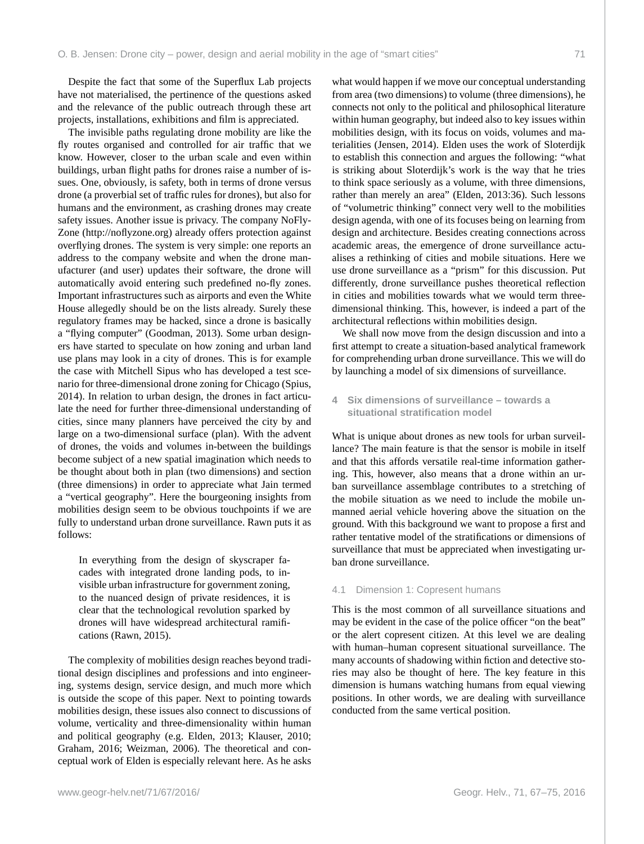Despite the fact that some of the Superflux Lab projects have not materialised, the pertinence of the questions asked and the relevance of the public outreach through these art projects, installations, exhibitions and film is appreciated.

The invisible paths regulating drone mobility are like the fly routes organised and controlled for air traffic that we know. However, closer to the urban scale and even within buildings, urban flight paths for drones raise a number of issues. One, obviously, is safety, both in terms of drone versus drone (a proverbial set of traffic rules for drones), but also for humans and the environment, as crashing drones may create safety issues. Another issue is privacy. The company NoFly-Zone [\(http://noflyzone.org\)](http://noflyzone.org) already offers protection against overflying drones. The system is very simple: one reports an address to the company website and when the drone manufacturer (and user) updates their software, the drone will automatically avoid entering such predefined no-fly zones. Important infrastructures such as airports and even the White House allegedly should be on the lists already. Surely these regulatory frames may be hacked, since a drone is basically a "flying computer" (Goodman, 2013). Some urban designers have started to speculate on how zoning and urban land use plans may look in a city of drones. This is for example the case with Mitchell Sipus who has developed a test scenario for three-dimensional drone zoning for Chicago (Spius, 2014). In relation to urban design, the drones in fact articulate the need for further three-dimensional understanding of cities, since many planners have perceived the city by and large on a two-dimensional surface (plan). With the advent of drones, the voids and volumes in-between the buildings become subject of a new spatial imagination which needs to be thought about both in plan (two dimensions) and section (three dimensions) in order to appreciate what Jain termed a "vertical geography". Here the bourgeoning insights from mobilities design seem to be obvious touchpoints if we are fully to understand urban drone surveillance. Rawn puts it as follows:

In everything from the design of skyscraper facades with integrated drone landing pods, to invisible urban infrastructure for government zoning, to the nuanced design of private residences, it is clear that the technological revolution sparked by drones will have widespread architectural ramifications (Rawn, 2015).

The complexity of mobilities design reaches beyond traditional design disciplines and professions and into engineering, systems design, service design, and much more which is outside the scope of this paper. Next to pointing towards mobilities design, these issues also connect to discussions of volume, verticality and three-dimensionality within human and political geography (e.g. Elden, 2013; Klauser, 2010; Graham, 2016; Weizman, 2006). The theoretical and conceptual work of Elden is especially relevant here. As he asks

what would happen if we move our conceptual understanding from area (two dimensions) to volume (three dimensions), he connects not only to the political and philosophical literature within human geography, but indeed also to key issues within mobilities design, with its focus on voids, volumes and materialities (Jensen, 2014). Elden uses the work of Sloterdijk to establish this connection and argues the following: "what is striking about Sloterdijk's work is the way that he tries to think space seriously as a volume, with three dimensions, rather than merely an area" (Elden, 2013:36). Such lessons of "volumetric thinking" connect very well to the mobilities design agenda, with one of its focuses being on learning from design and architecture. Besides creating connections across academic areas, the emergence of drone surveillance actualises a rethinking of cities and mobile situations. Here we use drone surveillance as a "prism" for this discussion. Put differently, drone surveillance pushes theoretical reflection in cities and mobilities towards what we would term threedimensional thinking. This, however, is indeed a part of the architectural reflections within mobilities design.

We shall now move from the design discussion and into a first attempt to create a situation-based analytical framework for comprehending urban drone surveillance. This we will do by launching a model of six dimensions of surveillance.

# **4 Six dimensions of surveillance – towards a situational stratification model**

What is unique about drones as new tools for urban surveillance? The main feature is that the sensor is mobile in itself and that this affords versatile real-time information gathering. This, however, also means that a drone within an urban surveillance assemblage contributes to a stretching of the mobile situation as we need to include the mobile unmanned aerial vehicle hovering above the situation on the ground. With this background we want to propose a first and rather tentative model of the stratifications or dimensions of surveillance that must be appreciated when investigating urban drone surveillance.

# 4.1 Dimension 1: Copresent humans

This is the most common of all surveillance situations and may be evident in the case of the police officer "on the beat" or the alert copresent citizen. At this level we are dealing with human–human copresent situational surveillance. The many accounts of shadowing within fiction and detective stories may also be thought of here. The key feature in this dimension is humans watching humans from equal viewing positions. In other words, we are dealing with surveillance conducted from the same vertical position.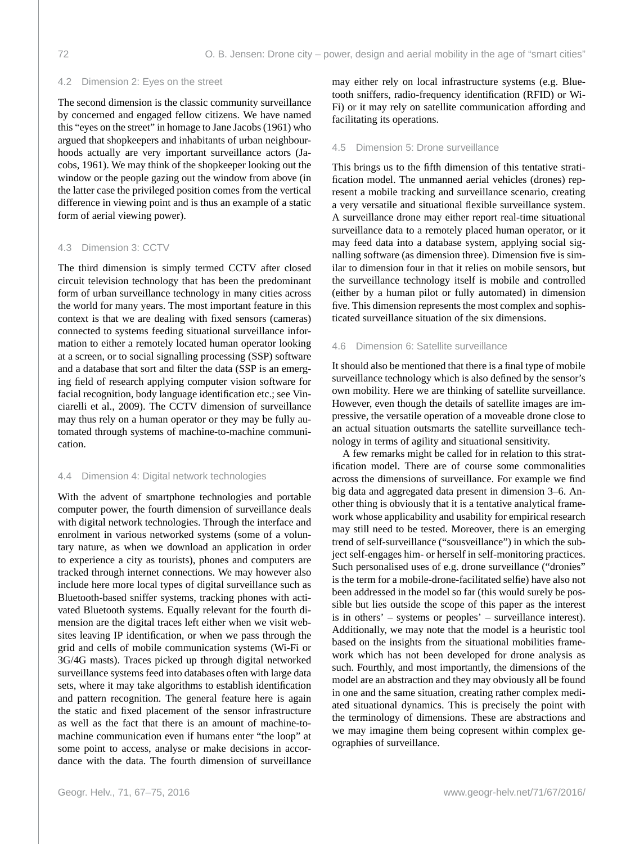# 4.2 Dimension 2: Eyes on the street

The second dimension is the classic community surveillance by concerned and engaged fellow citizens. We have named this "eyes on the street" in homage to Jane Jacobs (1961) who argued that shopkeepers and inhabitants of urban neighbourhoods actually are very important surveillance actors (Jacobs, 1961). We may think of the shopkeeper looking out the window or the people gazing out the window from above (in the latter case the privileged position comes from the vertical difference in viewing point and is thus an example of a static form of aerial viewing power).

# 4.3 Dimension 3: CCTV

The third dimension is simply termed CCTV after closed circuit television technology that has been the predominant form of urban surveillance technology in many cities across the world for many years. The most important feature in this context is that we are dealing with fixed sensors (cameras) connected to systems feeding situational surveillance information to either a remotely located human operator looking at a screen, or to social signalling processing (SSP) software and a database that sort and filter the data (SSP is an emerging field of research applying computer vision software for facial recognition, body language identification etc.; see Vinciarelli et al., 2009). The CCTV dimension of surveillance may thus rely on a human operator or they may be fully automated through systems of machine-to-machine communication.

#### 4.4 Dimension 4: Digital network technologies

With the advent of smartphone technologies and portable computer power, the fourth dimension of surveillance deals with digital network technologies. Through the interface and enrolment in various networked systems (some of a voluntary nature, as when we download an application in order to experience a city as tourists), phones and computers are tracked through internet connections. We may however also include here more local types of digital surveillance such as Bluetooth-based sniffer systems, tracking phones with activated Bluetooth systems. Equally relevant for the fourth dimension are the digital traces left either when we visit websites leaving IP identification, or when we pass through the grid and cells of mobile communication systems (Wi-Fi or 3G/4G masts). Traces picked up through digital networked surveillance systems feed into databases often with large data sets, where it may take algorithms to establish identification and pattern recognition. The general feature here is again the static and fixed placement of the sensor infrastructure as well as the fact that there is an amount of machine-tomachine communication even if humans enter "the loop" at some point to access, analyse or make decisions in accordance with the data. The fourth dimension of surveillance may either rely on local infrastructure systems (e.g. Bluetooth sniffers, radio-frequency identification (RFID) or Wi-Fi) or it may rely on satellite communication affording and facilitating its operations.

#### 4.5 Dimension 5: Drone surveillance

This brings us to the fifth dimension of this tentative stratification model. The unmanned aerial vehicles (drones) represent a mobile tracking and surveillance scenario, creating a very versatile and situational flexible surveillance system. A surveillance drone may either report real-time situational surveillance data to a remotely placed human operator, or it may feed data into a database system, applying social signalling software (as dimension three). Dimension five is similar to dimension four in that it relies on mobile sensors, but the surveillance technology itself is mobile and controlled (either by a human pilot or fully automated) in dimension five. This dimension represents the most complex and sophisticated surveillance situation of the six dimensions.

# 4.6 Dimension 6: Satellite surveillance

It should also be mentioned that there is a final type of mobile surveillance technology which is also defined by the sensor's own mobility. Here we are thinking of satellite surveillance. However, even though the details of satellite images are impressive, the versatile operation of a moveable drone close to an actual situation outsmarts the satellite surveillance technology in terms of agility and situational sensitivity.

A few remarks might be called for in relation to this stratification model. There are of course some commonalities across the dimensions of surveillance. For example we find big data and aggregated data present in dimension 3–6. Another thing is obviously that it is a tentative analytical framework whose applicability and usability for empirical research may still need to be tested. Moreover, there is an emerging trend of self-surveillance ("sousveillance") in which the subject self-engages him- or herself in self-monitoring practices. Such personalised uses of e.g. drone surveillance ("dronies" is the term for a mobile-drone-facilitated selfie) have also not been addressed in the model so far (this would surely be possible but lies outside the scope of this paper as the interest is in others' – systems or peoples' – surveillance interest). Additionally, we may note that the model is a heuristic tool based on the insights from the situational mobilities framework which has not been developed for drone analysis as such. Fourthly, and most importantly, the dimensions of the model are an abstraction and they may obviously all be found in one and the same situation, creating rather complex mediated situational dynamics. This is precisely the point with the terminology of dimensions. These are abstractions and we may imagine them being copresent within complex geographies of surveillance.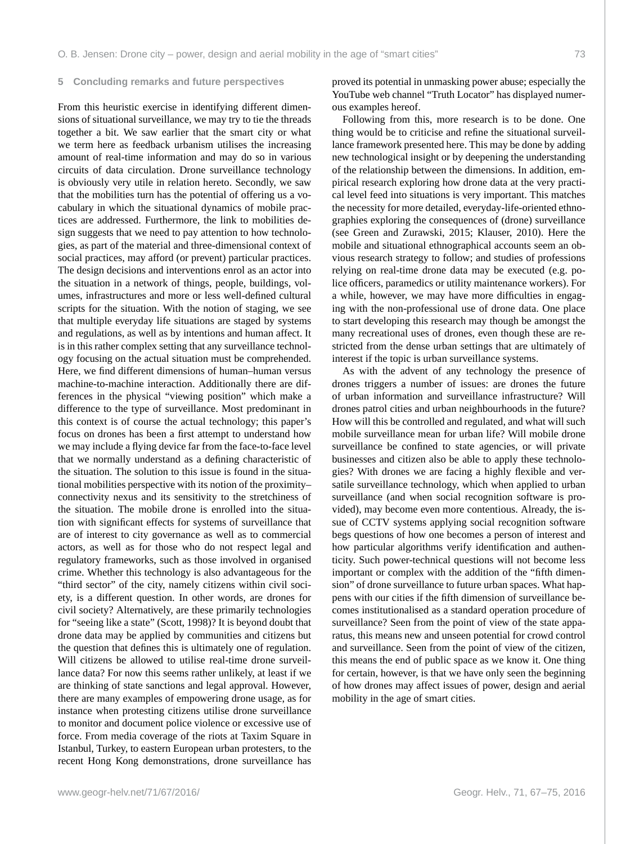#### **5 Concluding remarks and future perspectives**

From this heuristic exercise in identifying different dimensions of situational surveillance, we may try to tie the threads together a bit. We saw earlier that the smart city or what we term here as feedback urbanism utilises the increasing amount of real-time information and may do so in various circuits of data circulation. Drone surveillance technology is obviously very utile in relation hereto. Secondly, we saw that the mobilities turn has the potential of offering us a vocabulary in which the situational dynamics of mobile practices are addressed. Furthermore, the link to mobilities design suggests that we need to pay attention to how technologies, as part of the material and three-dimensional context of social practices, may afford (or prevent) particular practices. The design decisions and interventions enrol as an actor into the situation in a network of things, people, buildings, volumes, infrastructures and more or less well-defined cultural scripts for the situation. With the notion of staging, we see that multiple everyday life situations are staged by systems and regulations, as well as by intentions and human affect. It is in this rather complex setting that any surveillance technology focusing on the actual situation must be comprehended. Here, we find different dimensions of human–human versus machine-to-machine interaction. Additionally there are differences in the physical "viewing position" which make a difference to the type of surveillance. Most predominant in this context is of course the actual technology; this paper's focus on drones has been a first attempt to understand how we may include a flying device far from the face-to-face level that we normally understand as a defining characteristic of the situation. The solution to this issue is found in the situational mobilities perspective with its notion of the proximity– connectivity nexus and its sensitivity to the stretchiness of the situation. The mobile drone is enrolled into the situation with significant effects for systems of surveillance that are of interest to city governance as well as to commercial actors, as well as for those who do not respect legal and regulatory frameworks, such as those involved in organised crime. Whether this technology is also advantageous for the "third sector" of the city, namely citizens within civil society, is a different question. In other words, are drones for civil society? Alternatively, are these primarily technologies for "seeing like a state" (Scott, 1998)? It is beyond doubt that drone data may be applied by communities and citizens but the question that defines this is ultimately one of regulation. Will citizens be allowed to utilise real-time drone surveillance data? For now this seems rather unlikely, at least if we are thinking of state sanctions and legal approval. However, there are many examples of empowering drone usage, as for instance when protesting citizens utilise drone surveillance to monitor and document police violence or excessive use of force. From media coverage of the riots at Taxim Square in Istanbul, Turkey, to eastern European urban protesters, to the recent Hong Kong demonstrations, drone surveillance has

proved its potential in unmasking power abuse; especially the YouTube web channel "Truth Locator" has displayed numerous examples hereof.

Following from this, more research is to be done. One thing would be to criticise and refine the situational surveillance framework presented here. This may be done by adding new technological insight or by deepening the understanding of the relationship between the dimensions. In addition, empirical research exploring how drone data at the very practical level feed into situations is very important. This matches the necessity for more detailed, everyday-life-oriented ethnographies exploring the consequences of (drone) surveillance (see Green and Zurawski, 2015; Klauser, 2010). Here the mobile and situational ethnographical accounts seem an obvious research strategy to follow; and studies of professions relying on real-time drone data may be executed (e.g. police officers, paramedics or utility maintenance workers). For a while, however, we may have more difficulties in engaging with the non-professional use of drone data. One place to start developing this research may though be amongst the many recreational uses of drones, even though these are restricted from the dense urban settings that are ultimately of interest if the topic is urban surveillance systems.

As with the advent of any technology the presence of drones triggers a number of issues: are drones the future of urban information and surveillance infrastructure? Will drones patrol cities and urban neighbourhoods in the future? How will this be controlled and regulated, and what will such mobile surveillance mean for urban life? Will mobile drone surveillance be confined to state agencies, or will private businesses and citizen also be able to apply these technologies? With drones we are facing a highly flexible and versatile surveillance technology, which when applied to urban surveillance (and when social recognition software is provided), may become even more contentious. Already, the issue of CCTV systems applying social recognition software begs questions of how one becomes a person of interest and how particular algorithms verify identification and authenticity. Such power-technical questions will not become less important or complex with the addition of the "fifth dimension" of drone surveillance to future urban spaces. What happens with our cities if the fifth dimension of surveillance becomes institutionalised as a standard operation procedure of surveillance? Seen from the point of view of the state apparatus, this means new and unseen potential for crowd control and surveillance. Seen from the point of view of the citizen, this means the end of public space as we know it. One thing for certain, however, is that we have only seen the beginning of how drones may affect issues of power, design and aerial mobility in the age of smart cities.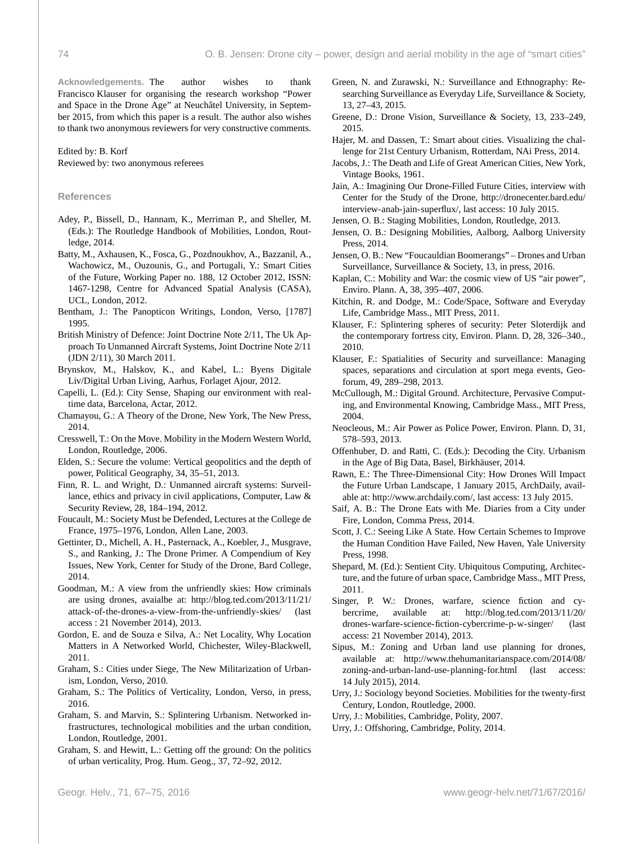**Acknowledgements.** The author wishes to thank Francisco Klauser for organising the research workshop "Power and Space in the Drone Age" at Neuchâtel University, in September 2015, from which this paper is a result. The author also wishes to thank two anonymous reviewers for very constructive comments.

#### Edited by: B. Korf Reviewed by: two anonymous referees

#### **References**

- Adey, P., Bissell, D., Hannam, K., Merriman P., and Sheller, M. (Eds.): The Routledge Handbook of Mobilities, London, Routledge, 2014.
- Batty, M., Axhausen, K., Fosca, G., Pozdnoukhov, A., Bazzanil, A., Wachowicz, M., Ouzounis, G., and Portugali, Y.: Smart Cities of the Future, Working Paper no. 188, 12 October 2012, ISSN: 1467-1298, Centre for Advanced Spatial Analysis (CASA), UCL, London, 2012.
- Bentham, J.: The Panopticon Writings, London, Verso, [1787] 1995.
- British Ministry of Defence: Joint Doctrine Note 2/11, The Uk Approach To Unmanned Aircraft Systems, Joint Doctrine Note 2/11 (JDN 2/11), 30 March 2011.
- Brynskov, M., Halskov, K., and Kabel, L.: Byens Digitale Liv/Digital Urban Living, Aarhus, Forlaget Ajour, 2012.
- Capelli, L. (Ed.): City Sense, Shaping our environment with realtime data, Barcelona, Actar, 2012.
- Chamayou, G.: A Theory of the Drone, New York, The New Press, 2014.
- Cresswell, T.: On the Move. Mobility in the Modern Western World, London, Routledge, 2006.
- Elden, S.: Secure the volume: Vertical geopolitics and the depth of power, Political Geography, 34, 35–51, 2013.
- Finn, R. L. and Wright, D.: Unmanned aircraft systems: Surveillance, ethics and privacy in civil applications, Computer, Law & Security Review, 28, 184–194, 2012.
- Foucault, M.: Society Must be Defended, Lectures at the College de France, 1975–1976, London, Allen Lane, 2003.
- Gettinter, D., Michell, A. H., Pasternack, A., Koebler, J., Musgrave, S., and Ranking, J.: The Drone Primer. A Compendium of Key Issues, New York, Center for Study of the Drone, Bard College, 2014.
- Goodman, M.: A view from the unfriendly skies: How criminals are using drones, avaialbe at: [http://blog.ted.com/2013/11/21/](http://blog.ted.com/2013/11/21/attack-of-the-drones-a-view-from-the-unfriendly-skies/) [attack-of-the-drones-a-view-from-the-unfriendly-skies/](http://blog.ted.com/2013/11/21/attack-of-the-drones-a-view-from-the-unfriendly-skies/) (last access : 21 November 2014), 2013.
- Gordon, E. and de Souza e Silva, A.: Net Locality, Why Location Matters in A Networked World, Chichester, Wiley-Blackwell, 2011.
- Graham, S.: Cities under Siege, The New Militarization of Urbanism, London, Verso, 2010.
- Graham, S.: The Politics of Verticality, London, Verso, in press, 2016.
- Graham, S. and Marvin, S.: Splintering Urbanism. Networked infrastructures, technological mobilities and the urban condition, London, Routledge, 2001.
- Graham, S. and Hewitt, L.: Getting off the ground: On the politics of urban verticality, Prog. Hum. Geog., 37, 72–92, 2012.
- Green, N. and Zurawski, N.: Surveillance and Ethnography: Researching Surveillance as Everyday Life, Surveillance & Society, 13, 27–43, 2015.
- Greene, D.: Drone Vision, Surveillance & Society, 13, 233–249, 2015.
- Hajer, M. and Dassen, T.: Smart about cities. Visualizing the challenge for 21st Century Urbanism, Rotterdam, NAi Press, 2014.
- Jacobs, J.: The Death and Life of Great American Cities, New York, Vintage Books, 1961.
- Jain, A.: Imagining Our Drone-Filled Future Cities, interview with Center for the Study of the Drone, [http://dronecenter.bard.edu/](http://dronecenter.bard.edu/interview-anab-jain-superflux/) [interview-anab-jain-superflux/,](http://dronecenter.bard.edu/interview-anab-jain-superflux/) last access: 10 July 2015.
- Jensen, O. B.: Staging Mobilities, London, Routledge, 2013.
- Jensen, O. B.: Designing Mobilities, Aalborg, Aalborg University Press, 2014.
- Jensen, O. B.: New "Foucauldian Boomerangs" Drones and Urban Surveillance, Surveillance & Society, 13, in press, 2016.
- Kaplan, C.: Mobility and War: the cosmic view of US "air power", Enviro. Plann. A, 38, 395–407, 2006.
- Kitchin, R. and Dodge, M.: Code/Space, Software and Everyday Life, Cambridge Mass., MIT Press, 2011.
- Klauser, F.: Splintering spheres of security: Peter Sloterdijk and the contemporary fortress city, Environ. Plann. D, 28, 326–340., 2010.
- Klauser, F.: Spatialities of Security and surveillance: Managing spaces, separations and circulation at sport mega events, Geoforum, 49, 289–298, 2013.
- McCullough, M.: Digital Ground. Architecture, Pervasive Computing, and Environmental Knowing, Cambridge Mass., MIT Press, 2004.
- Neocleous, M.: Air Power as Police Power, Environ. Plann. D, 31, 578–593, 2013.
- Offenhuber, D. and Ratti, C. (Eds.): Decoding the City. Urbanism in the Age of Big Data, Basel, Birkhäuser, 2014.
- Rawn, E.: The Three-Dimensional City: How Drones Will Impact the Future Urban Landscape, 1 January 2015, ArchDaily, available at: [http://www.archdaily.com/,](http://www.archdaily.com/583398/the-three-dimensional-city-how-drones-will-impact-the-future-urban-landscape/) last access: 13 July 2015.
- Saif, A. B.: The Drone Eats with Me. Diaries from a City under Fire, London, Comma Press, 2014.
- Scott, J. C.: Seeing Like A State. How Certain Schemes to Improve the Human Condition Have Failed, New Haven, Yale University Press, 1998.
- Shepard, M. (Ed.): Sentient City. Ubiquitous Computing, Architecture, and the future of urban space, Cambridge Mass., MIT Press, 2011.
- Singer, P. W.: Drones, warfare, science fiction and cybercrime, available at: [http://blog.ted.com/2013/11/20/](http://blog.ted.com/2013/11/20/drones-warfare-science-fiction-cybercrime-p-w-singer/) [drones-warfare-science-fiction-cybercrime-p-w-singer/](http://blog.ted.com/2013/11/20/drones-warfare-science-fiction-cybercrime-p-w-singer/) (last access: 21 November 2014), 2013.
- Sipus, M.: Zoning and Urban land use planning for drones, available at: [http://www.thehumanitarianspace.com/2014/08/](http://www.thehumanitarianspace.com/2014/08/zoning-and-urban-land-use-planning-for.html) [zoning-and-urban-land-use-planning-for.html](http://www.thehumanitarianspace.com/2014/08/zoning-and-urban-land-use-planning-for.html) (last access: 14 July 2015), 2014.
- Urry, J.: Sociology beyond Societies. Mobilities for the twenty-first Century, London, Routledge, 2000.
- Urry, J.: Mobilities, Cambridge, Polity, 2007.
- Urry, J.: Offshoring, Cambridge, Polity, 2014.